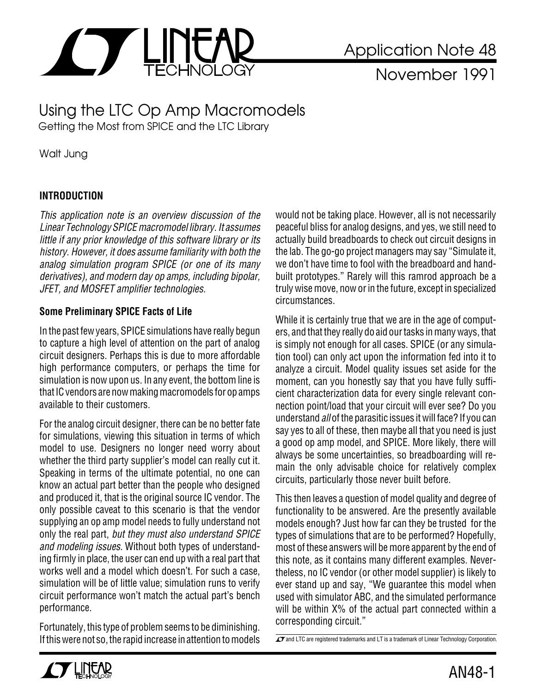

November 1991

Using the LTC Op Amp Macromodels Getting the Most from SPICE and the LTC Library

Walt Jung

## **INTRODUCTION**

This application note is an overview discussion of the Linear Technology SPICE macromodel library. It assumes little if any prior knowledge of this software library or its history. However, it does assume familiarity with both the analog simulation program SPICE (or one of its many derivatives), and modern day op amps, including bipolar, JFET, and MOSFET amplifier technologies.

#### **Some Preliminary SPICE Facts of Life**

In the past few years, SPICE simulations have really begun to capture a high level of attention on the part of analog circuit designers. Perhaps this is due to more affordable high performance computers, or perhaps the time for simulation is now upon us. In any event, the bottom line is that IC vendors are now making macromodels for op amps available to their customers.

For the analog circuit designer, there can be no better fate for simulations, viewing this situation in terms of which model to use. Designers no longer need worry about whether the third party supplier's model can really cut it. Speaking in terms of the ultimate potential, no one can know an actual part better than the people who designed and produced it, that is the original source IC vendor. The only possible caveat to this scenario is that the vendor supplying an op amp model needs to fully understand not only the real part, but they must also understand SPICE and modeling issues. Without both types of understanding firmly in place, the user can end up with a real part that works well and a model which doesn't. For such a case, simulation will be of little value; simulation runs to verify circuit performance won't match the actual part's bench performance.

Fortunately, this type of problem seems to be diminishing. If this were not so, the rapid increase in attention to models would not be taking place. However, all is not necessarily peaceful bliss for analog designs, and yes, we still need to actually build breadboards to check out circuit designs in the lab. The go-go project managers may say "Simulate it, we don't have time to fool with the breadboard and handbuilt prototypes." Rarely will this ramrod approach be a truly wise move, now or in the future, except in specialized circumstances.

While it is certainly true that we are in the age of computers, and that they really do aid our tasks in many ways, that is simply not enough for all cases. SPICE (or any simulation tool) can only act upon the information fed into it to analyze a circuit. Model quality issues set aside for the moment, can you honestly say that you have fully sufficient characterization data for every single relevant connection point/load that your circuit will ever see? Do you understand all of the parasitic issues it will face? If you can say yes to all of these, then maybe all that you need is just a good op amp model, and SPICE. More likely, there will always be some uncertainties, so breadboarding will remain the only advisable choice for relatively complex circuits, particularly those never built before.

This then leaves a question of model quality and degree of functionality to be answered. Are the presently available models enough? Just how far can they be trusted for the types of simulations that are to be performed? Hopefully, most of these answers will be more apparent by the end of this note, as it contains many different examples. Nevertheless, no IC vendor (or other model supplier) is likely to ever stand up and say, "We guarantee this model when used with simulator ABC, and the simulated performance will be within  $X\%$  of the actual part connected within a corresponding circuit."

 $\overline{\mathcal{A}}$  and LTC are registered trademarks and LT is a trademark of Linear Technology Corporation.

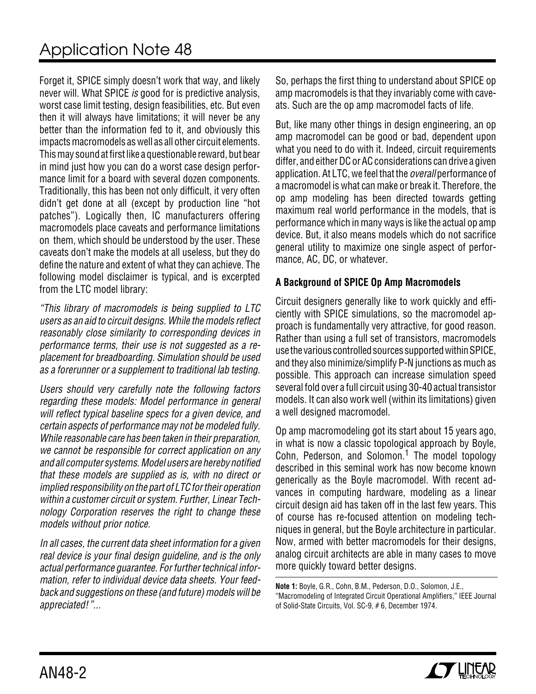Forget it, SPICE simply doesn't work that way, and likely never will. What SPICE is good for is predictive analysis, worst case limit testing, design feasibilities, etc. But even then it will always have limitations; it will never be any better than the information fed to it, and obviously this impacts macromodels as well as all other circuit elements. This may sound at first like a questionable reward, but bear in mind just how you can do a worst case design performance limit for a board with several dozen components. Traditionally, this has been not only difficult, it very often didn't get done at all (except by production line "hot patches"). Logically then, IC manufacturers offering macromodels place caveats and performance limitations on them, which should be understood by the user. These caveats don't make the models at all useless, but they do define the nature and extent of what they can achieve. The following model disclaimer is typical, and is excerpted from the LTC model library:

"This library of macromodels is being supplied to LTC users as an aid to circuit designs. While the models reflect reasonably close similarity to corresponding devices in performance terms, their use is not suggested as a replacement for breadboarding. Simulation should be used as a forerunner or a supplement to traditional lab testing.

Users should very carefully note the following factors regarding these models: Model performance in general will reflect typical baseline specs for a given device, and certain aspects of performance may not be modeled fully. While reasonable care has been taken in their preparation, we cannot be responsible for correct application on any and all computer systems. Model users are hereby notified that these models are supplied as is, with no direct or implied responsibility on the part of LTC for their operation within a customer circuit or system. Further, Linear Technology Corporation reserves the right to change these models without prior notice.

In all cases, the current data sheet information for a given real device is your final design guideline, and is the only actual performance guarantee. For further technical information, refer to individual device data sheets. Your feedback and suggestions on these (and future) models will be appreciated!"...

So, perhaps the first thing to understand about SPICE op amp macromodels is that they invariably come with caveats. Such are the op amp macromodel facts of life.

But, like many other things in design engineering, an op amp macromodel can be good or bad, dependent upon what you need to do with it. Indeed, circuit requirements differ, and either DC or AC considerations can drive a given application. At LTC, we feel that the *overall* performance of a macromodel is what can make or break it. Therefore, the op amp modeling has been directed towards getting maximum real world performance in the models, that is performance which in many ways is like the actual op amp device. But, it also means models which do not sacrifice general utility to maximize one single aspect of performance, AC, DC, or whatever.

### **A Background of SPICE Op Amp Macromodels**

Circuit designers generally like to work quickly and efficiently with SPICE simulations, so the macromodel approach is fundamentally very attractive, for good reason. Rather than using a full set of transistors, macromodels use the various controlled sources supported within SPICE, and they also minimize/simplify P-N junctions as much as possible. This approach can increase simulation speed several fold over a full circuit using 30-40 actual transistor models. It can also work well (within its limitations) given a well designed macromodel.

Op amp macromodeling got its start about 15 years ago, in what is now a classic topological approach by Boyle, Cohn, Pederson, and Solomon.<sup>1</sup> The model topology described in this seminal work has now become known generically as the Boyle macromodel. With recent advances in computing hardware, modeling as a linear circuit design aid has taken off in the last few years. This of course has re-focused attention on modeling techniques in general, but the Boyle architecture in particular. Now, armed with better macromodels for their designs, analog circuit architects are able in many cases to move more quickly toward better designs.

**Note 1:** Boyle, G.R., Cohn, B.M., Pederson, D.O., Solomon, J.E., "Macromodeling of Integrated Circuit Operational Amplifiers," IEEE Journal of Solid-State Circuits, Vol. SC-9, # 6, December 1974.

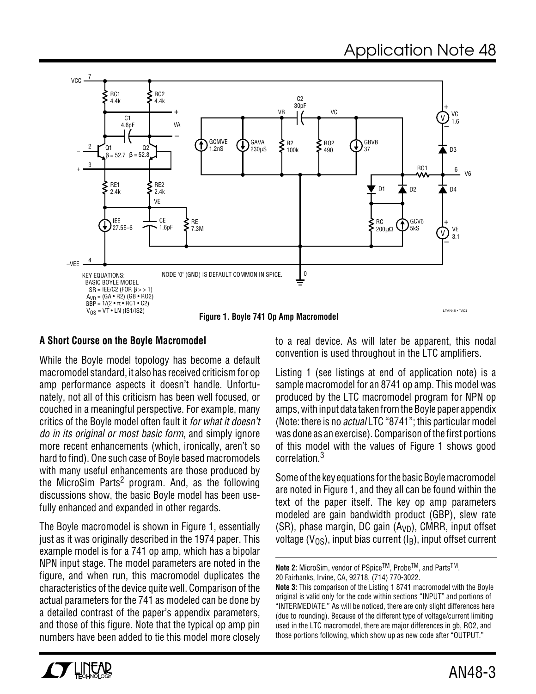

#### **A Short Course on the Boyle Macromodel**

While the Boyle model topology has become a default macromodel standard, it also has received criticism for op amp performance aspects it doesn't handle. Unfortunately, not all of this criticism has been well focused, or couched in a meaningful perspective. For example, many critics of the Boyle model often fault it for what it doesn't do in its original or most basic form, and simply ignore more recent enhancements (which, ironically, aren't so hard to find). One such case of Boyle based macromodels with many useful enhancements are those produced by the MicroSim Parts<sup>2</sup> program. And, as the following discussions show, the basic Boyle model has been usefully enhanced and expanded in other regards.

The Boyle macromodel is shown in Figure 1, essentially just as it was originally described in the 1974 paper. This example model is for a 741 op amp, which has a bipolar NPN input stage. The model parameters are noted in the figure, and when run, this macromodel duplicates the characteristics of the device quite well. Comparison of the actual parameters for the 741 as modeled can be done by a detailed contrast of the paper's appendix parameters, and those of this figure. Note that the typical op amp pin numbers have been added to tie this model more closely

to a real device. As will later be apparent, this nodal convention is used throughout in the LTC amplifiers.

Listing 1 (see listings at end of application note) is a sample macromodel for an 8741 op amp. This model was produced by the LTC macromodel program for NPN op amps, with input data taken from the Boyle paper appendix (Note: there is no actual LTC "8741"; this particular model was done as an exercise). Comparison of the first portions of this model with the values of Figure 1 shows good correlation.<sup>3</sup>

Some of the key equations for the basic Boyle macromodel are noted in Figure 1, and they all can be found within the text of the paper itself. The key op amp parameters modeled are gain bandwidth product (GBP), slew rate (SR), phase margin, DC gain  $(A<sub>VD</sub>)$ , CMRR, input offset voltage ( $V_{OS}$ ), input bias current ( $I_B$ ), input offset current



**Note 2:** MicroSim, vendor of PSpice™, Probe™, and Parts<sup>™</sup>. 20 Fairbanks, Irvine, CA, 92718, (714) 770-3022.

**Note 3:** This comparison of the Listing 1 8741 macromodel with the Boyle original is valid only for the code within sections "INPUT" and portions of "INTERMEDIATE." As will be noticed, there are only slight differences here (due to rounding). Because of the different type of voltage/current limiting used in the LTC macromodel, there are major differences in gb, RO2, and those portions following, which show up as new code after "OUTPUT."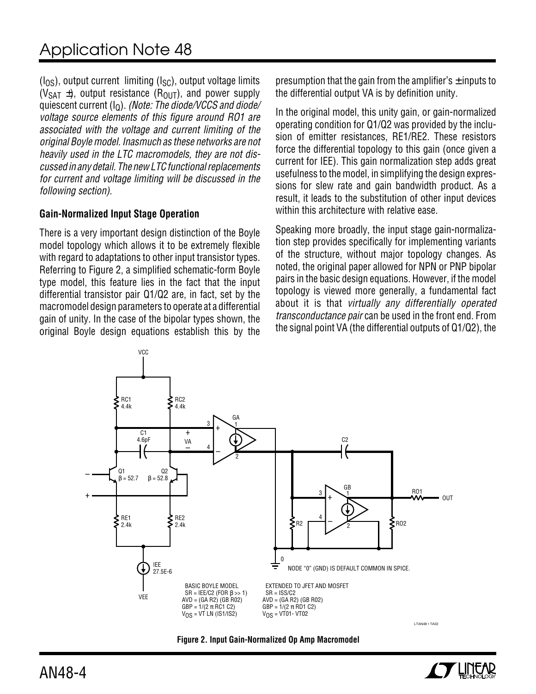$(I<sub>OS</sub>)$ , output current limiting  $(I<sub>SC</sub>)$ , output voltage limits  $(V_{\text{SAT}} \pm)$ , output resistance  $(R_{\text{OUT}})$ , and power supply quiescent current  $(I<sub>Q</sub>)$ . (Note: The diode/VCCS and diode/ voltage source elements of this figure around RO1 are associated with the voltage and current limiting of the original Boyle model. Inasmuch as these networks are not heavily used in the LTC macromodels, they are not discussed in any detail. The new LTC functional replacements for current and voltage limiting will be discussed in the following section).

### **Gain-Normalized Input Stage Operation**

There is a very important design distinction of the Boyle model topology which allows it to be extremely flexible with regard to adaptations to other input transistor types. Referring to Figure 2, a simplified schematic-form Boyle type model, this feature lies in the fact that the input differential transistor pair Q1/Q2 are, in fact, set by the macromodel design parameters to operate at a differential gain of unity. In the case of the bipolar types shown, the original Boyle design equations establish this by the presumption that the gain from the amplifier's  $\pm$  inputs to the differential output VA is by definition unity.

In the original model, this unity gain, or gain-normalized operating condition for Q1/Q2 was provided by the inclusion of emitter resistances, RE1/RE2. These resistors force the differential topology to this gain (once given a current for IEE). This gain normalization step adds great usefulness to the model, in simplifying the design expressions for slew rate and gain bandwidth product. As a result, it leads to the substitution of other input devices within this architecture with relative ease.

Speaking more broadly, the input stage gain-normalization step provides specifically for implementing variants of the structure, without major topology changes. As noted, the original paper allowed for NPN or PNP bipolar pairs in the basic design equations. However, if the model topology is viewed more generally, a fundamental fact about it is that virtually any differentially operated transconductance pair can be used in the front end. From the signal point VA (the differential outputs of Q1/Q2), the



**Figure 2. Input Gain-Normalized Op Amp Macromodel**

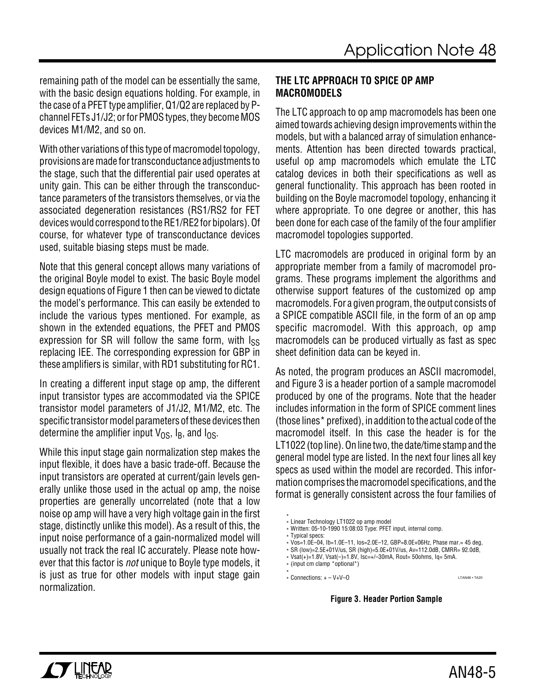remaining path of the model can be essentially the same, with the basic design equations holding. For example, in the case of a PFET type amplifier, Q1/Q2 are replaced by Pchannel FETs J1/J2; or for PMOS types, they become MOS devices M1/M2, and so on.

With other variations of this type of macromodel topology, provisions are made for transconductance adjustments to the stage, such that the differential pair used operates at unity gain. This can be either through the transconductance parameters of the transistors themselves, or via the associated degeneration resistances (RS1/RS2 for FET devices would correspond to the RE1/RE2 for bipolars). Of course, for whatever type of transconductance devices used, suitable biasing steps must be made.

Note that this general concept allows many variations of the original Boyle model to exist. The basic Boyle model design equations of Figure 1 then can be viewed to dictate the model's performance. This can easily be extended to include the various types mentioned. For example, as shown in the extended equations, the PFET and PMOS expression for SR will follow the same form, with  $\log$ replacing IEE. The corresponding expression for GBP in these amplifiers is similar, with RD1 substituting for RC1.

In creating a different input stage op amp, the different input transistor types are accommodated via the SPICE transistor model parameters of J1/J2, M1/M2, etc. The specific transistor model parameters of these devices then determine the amplifier input  $V_{OS}$ ,  $I_B$ , and  $I_{OS}$ .

While this input stage gain normalization step makes the input flexible, it does have a basic trade-off. Because the input transistors are operated at current/gain levels generally unlike those used in the actual op amp, the noise properties are generally uncorrelated (note that a low noise op amp will have a very high voltage gain in the first stage, distinctly unlike this model). As a result of this, the input noise performance of a gain-normalized model will usually not track the real IC accurately. Please note however that this factor is *not* unique to Boyle type models, it is just as true for other models with input stage gain normalization.

### **THE LTC APPROACH TO SPICE OP AMP MACROMODELS**

The LTC approach to op amp macromodels has been one aimed towards achieving design improvements within the models, but with a balanced array of simulation enhancements. Attention has been directed towards practical, useful op amp macromodels which emulate the LTC catalog devices in both their specifications as well as general functionality. This approach has been rooted in building on the Boyle macromodel topology, enhancing it where appropriate. To one degree or another, this has been done for each case of the family of the four amplifier macromodel topologies supported.

LTC macromodels are produced in original form by an appropriate member from a family of macromodel programs. These programs implement the algorithms and otherwise support features of the customized op amp macromodels. For a given program, the output consists of a SPICE compatible ASCII file, in the form of an op amp specific macromodel. With this approach, op amp macromodels can be produced virtually as fast as spec sheet definition data can be keyed in.

As noted, the program produces an ASCII macromodel, and Figure 3 is a header portion of a sample macromodel produced by one of the programs. Note that the header includes information in the form of SPICE comment lines (those lines\* prefixed), in addition to the actual code of the macromodel itself. In this case the header is for the LT1022 (top line). On line two, the date/time stamp and the general model type are listed. In the next four lines all key specs as used within the model are recorded. This information comprises the macromodel specifications, and the format is generally consistent across the four families of

#### **Figure 3. Header Portion Sample**

<sup>\*</sup> \* Linear Technology LT1022 op amp model

<sup>\*</sup> Written: 05-10-1990 15:08:03 Type: PFET input, internal comp.

<sup>\*</sup> Typical specs:

<sup>\*</sup> Vos=1.0E–04, Ib=1.0E–11, Ios=2.0E–12, GBP=8.0E+06Hz, Phase mar.= 45 deg,

<sup>\*</sup> SR (low)=2.5E+01V/us, SR (high)=5.0E+01V/us, Av=112.0dB, CMRR= 92.0dB,

 $*$  Vsat(+)=1.8V, Vsat(-)=1.8V, Isc=+/-30mA, Rout= 50ohms, Iq= 5mA.

<sup>\* (</sup>input cm clamp \*optional\*)

<sup>\*</sup> \* Connections: + – V+V–O LTAN48 • TA20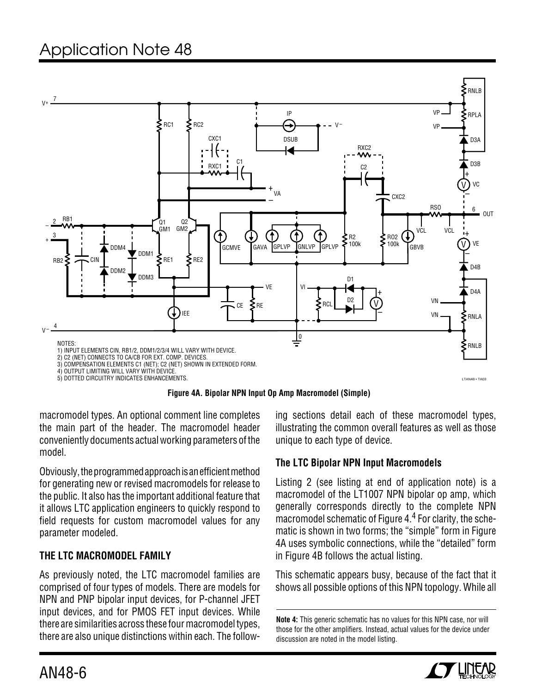

**Figure 4A. Bipolar NPN Input Op Amp Macromodel (Simple)**

macromodel types. An optional comment line completes the main part of the header. The macromodel header conveniently documents actual working parameters of the model.

Obviously, the programmed approach is an efficient method for generating new or revised macromodels for release to the public. It also has the important additional feature that it allows LTC application engineers to quickly respond to field requests for custom macromodel values for any parameter modeled.

## **THE LTC MACROMODEL FAMILY**

As previously noted, the LTC macromodel families are comprised of four types of models. There are models for NPN and PNP bipolar input devices, for P-channel JFET input devices, and for PMOS FET input devices. While there are similarities across these four macromodel types, there are also unique distinctions within each. The following sections detail each of these macromodel types, illustrating the common overall features as well as those unique to each type of device.

## **The LTC Bipolar NPN Input Macromodels**

Listing 2 (see listing at end of application note) is a macromodel of the LT1007 NPN bipolar op amp, which generally corresponds directly to the complete NPN macromodel schematic of Figure 4.4 For clarity, the schematic is shown in two forms; the "simple" form in Figure 4A uses symbolic connections, while the "detailed" form in Figure 4B follows the actual listing.

This schematic appears busy, because of the fact that it shows all possible options of this NPN topology. While all

**Note 4:** This generic schematic has no values for this NPN case, nor will those for the other amplifiers. Instead, actual values for the device under discussion are noted in the model listing.

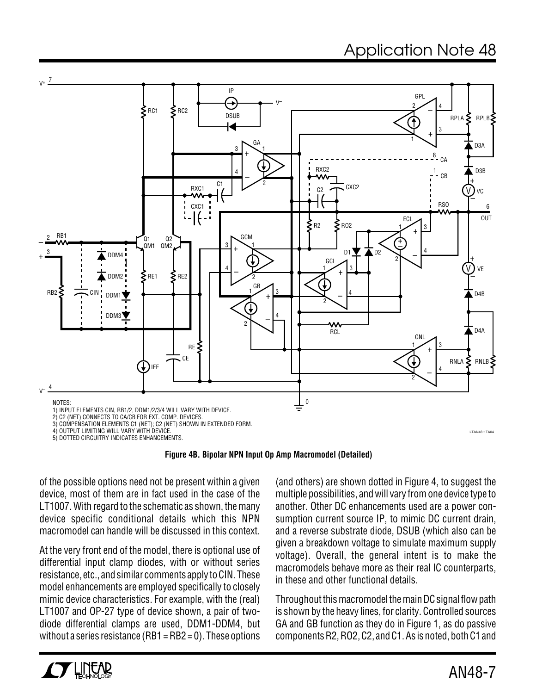

5) DOTTED CIRCUITRY INDICATES ENHANCEMENTS.

**Figure 4B. Bipolar NPN Input Op Amp Macromodel (Detailed)**

of the possible options need not be present within a given device, most of them are in fact used in the case of the LT1007. With regard to the schematic as shown, the many device specific conditional details which this NPN macromodel can handle will be discussed in this context.

At the very front end of the model, there is optional use of differential input clamp diodes, with or without series resistance, etc., and similar comments apply to CIN. These model enhancements are employed specifically to closely mimic device characteristics. For example, with the (real) LT1007 and OP-27 type of device shown, a pair of twodiode differential clamps are used, DDM1-DDM4, but without a series resistance (RB1 =  $RB2 = 0$ ). These options

(and others) are shown dotted in Figure 4, to suggest the multiple possibilities, and will vary from one device type to another. Other DC enhancements used are a power consumption current source IP, to mimic DC current drain, and a reverse substrate diode, DSUB (which also can be given a breakdown voltage to simulate maximum supply voltage). Overall, the general intent is to make the macromodels behave more as their real IC counterparts, in these and other functional details.

Throughout this macromodel the main DC signal flow path is shown by the heavy lines, for clarity. Controlled sources GA and GB function as they do in Figure 1, as do passive components R2, RO2, C2, and C1. As is noted, both C1 and

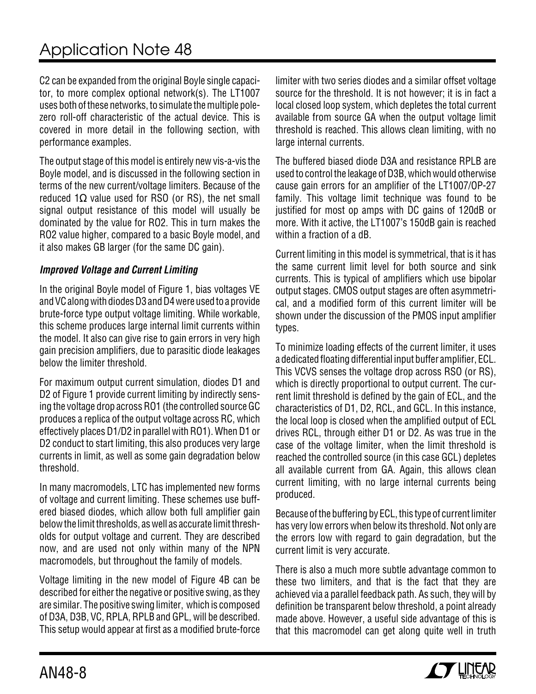C2 can be expanded from the original Boyle single capacitor, to more complex optional network(s). The LT1007 uses both of these networks, to simulate the multiple polezero roll-off characteristic of the actual device. This is covered in more detail in the following section, with performance examples.

The output stage of this model is entirely new vis-a-vis the Boyle model, and is discussed in the following section in terms of the new current/voltage limiters. Because of the reduced 1 $\Omega$  value used for RSO (or RS), the net small signal output resistance of this model will usually be dominated by the value for RO2. This in turn makes the RO2 value higher, compared to a basic Boyle model, and it also makes GB larger (for the same DC gain).

### **Improved Voltage and Current Limiting**

In the original Boyle model of Figure 1, bias voltages VE and VC along with diodes D3 and D4 were used to a provide brute-force type output voltage limiting. While workable, this scheme produces large internal limit currents within the model. It also can give rise to gain errors in very high gain precision amplifiers, due to parasitic diode leakages below the limiter threshold.

For maximum output current simulation, diodes D1 and D2 of Figure 1 provide current limiting by indirectly sensing the voltage drop across RO1 (the controlled source GC produces a replica of the output voltage across RC, which effectively places D1/D2 in parallel with RO1). When D1 or D2 conduct to start limiting, this also produces very large currents in limit, as well as some gain degradation below threshold.

In many macromodels, LTC has implemented new forms of voltage and current limiting. These schemes use buffered biased diodes, which allow both full amplifier gain below the limit thresholds, as well as accurate limit thresholds for output voltage and current. They are described now, and are used not only within many of the NPN macromodels, but throughout the family of models.

Voltage limiting in the new model of Figure 4B can be described for either the negative or positive swing, as they are similar. The positive swing limiter, which is composed of D3A, D3B, VC, RPLA, RPLB and GPL, will be described. This setup would appear at first as a modified brute-force

limiter with two series diodes and a similar offset voltage source for the threshold. It is not however; it is in fact a local closed loop system, which depletes the total current available from source GA when the output voltage limit threshold is reached. This allows clean limiting, with no large internal currents.

The buffered biased diode D3A and resistance RPLB are used to control the leakage of D3B, which would otherwise cause gain errors for an amplifier of the LT1007/OP-27 family. This voltage limit technique was found to be justified for most op amps with DC gains of 120dB or more. With it active, the LT1007's 150dB gain is reached within a fraction of a dB.

Current limiting in this model is symmetrical, that is it has the same current limit level for both source and sink currents. This is typical of amplifiers which use bipolar output stages. CMOS output stages are often asymmetrical, and a modified form of this current limiter will be shown under the discussion of the PMOS input amplifier types.

To minimize loading effects of the current limiter, it uses a dedicated floating differential input buffer amplifier, ECL. This VCVS senses the voltage drop across RSO (or RS), which is directly proportional to output current. The current limit threshold is defined by the gain of ECL, and the characteristics of D1, D2, RCL, and GCL. In this instance, the local loop is closed when the amplified output of ECL drives RCL, through either D1 or D2. As was true in the case of the voltage limiter, when the limit threshold is reached the controlled source (in this case GCL) depletes all available current from GA. Again, this allows clean current limiting, with no large internal currents being produced.

Because of the buffering by ECL, this type of current limiter has very low errors when below its threshold. Not only are the errors low with regard to gain degradation, but the current limit is very accurate.

There is also a much more subtle advantage common to these two limiters, and that is the fact that they are achieved via a parallel feedback path. As such, they will by definition be transparent below threshold, a point already made above. However, a useful side advantage of this is that this macromodel can get along quite well in truth

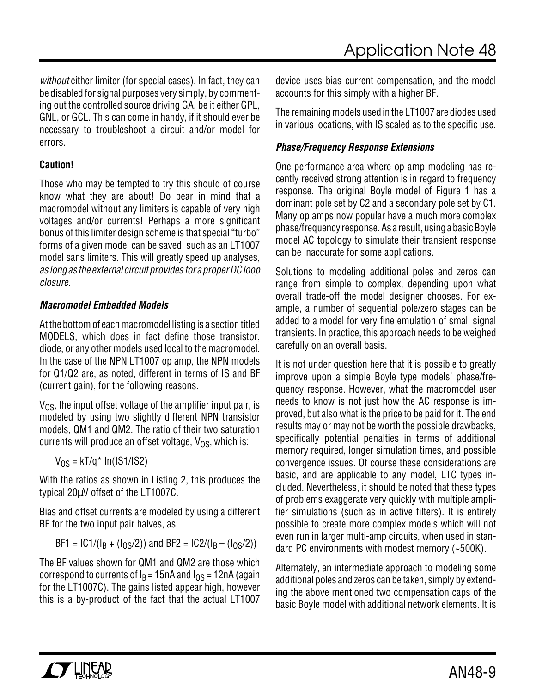without either limiter (for special cases). In fact, they can be disabled for signal purposes very simply, by commenting out the controlled source driving GA, be it either GPL, GNL, or GCL. This can come in handy, if it should ever be necessary to troubleshoot a circuit and/or model for errors.

## **Caution!**

Those who may be tempted to try this should of course know what they are about! Do bear in mind that a macromodel without any limiters is capable of very high voltages and/or currents! Perhaps a more significant bonus of this limiter design scheme is that special "turbo" forms of a given model can be saved, such as an LT1007 model sans limiters. This will greatly speed up analyses, as long as the external circuit provides for a proper DC loop closure.

## **Macromodel Embedded Models**

At the bottom of each macromodel listing is a section titled MODELS, which does in fact define those transistor, diode, or any other models used local to the macromodel. In the case of the NPN LT1007 op amp, the NPN models for Q1/Q2 are, as noted, different in terms of IS and BF (current gain), for the following reasons.

 $V_{OS}$ , the input offset voltage of the amplifier input pair, is modeled by using two slightly different NPN transistor models, QM1 and QM2. The ratio of their two saturation currents will produce an offset voltage,  $V_{OS}$ , which is:

 $V_{OS} = kT/q^*$  ln(IS1/IS2)

With the ratios as shown in Listing 2, this produces the typical 20µV offset of the LT1007C.

Bias and offset currents are modeled by using a different BF for the two input pair halves, as:

$$
BF1 = IC1/(I_B + (I_0s/2))
$$
 and  $BF2 = IC2/(I_B - (I_0s/2))$ 

The BF values shown for QM1 and QM2 are those which correspond to currents of  $I_B = 15nA$  and  $I_{OS} = 12nA$  (again for the LT1007C). The gains listed appear high, however this is a by-product of the fact that the actual LT1007

device uses bias current compensation, and the model accounts for this simply with a higher BF.

The remaining models used in the LT1007 are diodes used in various locations, with IS scaled as to the specific use.

## **Phase/Frequency Response Extensions**

One performance area where op amp modeling has recently received strong attention is in regard to frequency response. The original Boyle model of Figure 1 has a dominant pole set by C2 and a secondary pole set by C1. Many op amps now popular have a much more complex phase/frequency response. As a result, using a basic Boyle model AC topology to simulate their transient response can be inaccurate for some applications.

Solutions to modeling additional poles and zeros can range from simple to complex, depending upon what overall trade-off the model designer chooses. For example, a number of sequential pole/zero stages can be added to a model for very fine emulation of small signal transients. In practice, this approach needs to be weighed carefully on an overall basis.

It is not under question here that it is possible to greatly improve upon a simple Boyle type models' phase/frequency response. However, what the macromodel user needs to know is not just how the AC response is improved, but also what is the price to be paid for it. The end results may or may not be worth the possible drawbacks, specifically potential penalties in terms of additional memory required, longer simulation times, and possible convergence issues. Of course these considerations are basic, and are applicable to any model, LTC types included. Nevertheless, it should be noted that these types of problems exaggerate very quickly with multiple amplifier simulations (such as in active filters). It is entirely possible to create more complex models which will not even run in larger multi-amp circuits, when used in standard PC environments with modest memory (~500K).

Alternately, an intermediate approach to modeling some additional poles and zeros can be taken, simply by extending the above mentioned two compensation caps of the basic Boyle model with additional network elements. It is

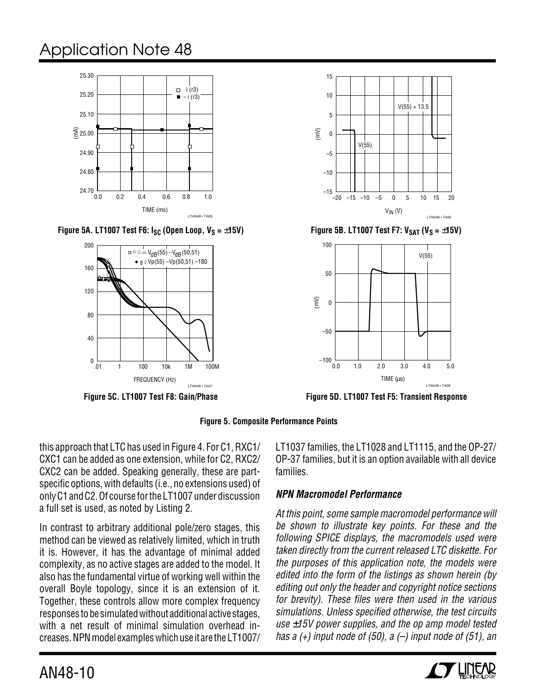

**Figure 5A. LT1007 Test F6:**  $I_{SC}$  **(Open Loop,**  $V_S = \pm 15V$ **)** Figure 5B. LT1007 Test F7:  $V_{SAT}$  (V<sub>S</sub> =  $\pm 15V$ )



**Figure 5C. LT1007 Test F8: Gain/Phase**





**Figure 5D. LT1007 Test F5: Transient Response**

**Figure 5. Composite Performance Points**

this approach that LTC has used in Figure 4. For C1, RXC1/ CXC1 can be added as one extension, while for C2, RXC2/ CXC2 can be added. Speaking generally, these are partspecific options, with defaults (i.e., no extensions used) of only C1 and C2. Of course for the LT1007 under discussion a full set is used, as noted by Listing 2.

In contrast to arbitrary additional pole/zero stages, this method can be viewed as relatively limited, which in truth it is. However, it has the advantage of minimal added complexity, as no active stages are added to the model. It also has the fundamental virtue of working well within the overall Boyle topology, since it is an extension of it. Together, these controls allow more complex frequency responses to be simulated without additional active stages, with a net result of minimal simulation overhead increases. NPN model examples which use it are the LT1007/

LT1037 families, the LT1028 and LT1115, and the OP-27/ OP-37 families, but it is an option available with all device families.

## **NPN Macromodel Performance**

At this point, some sample macromodel performance will be shown to illustrate key points. For these and the following SPICE displays, the macromodels used were taken directly from the current released LTC diskette. For the purposes of this application note, the models were edited into the form of the listings as shown herein (by editing out only the header and copyright notice sections for brevity). These files were then used in the various simulations. Unless specified otherwise, the test circuits use  $\pm$ 15V power supplies, and the op amp model tested has a  $(+)$  input node of (50), a  $(-)$  input node of (51), an

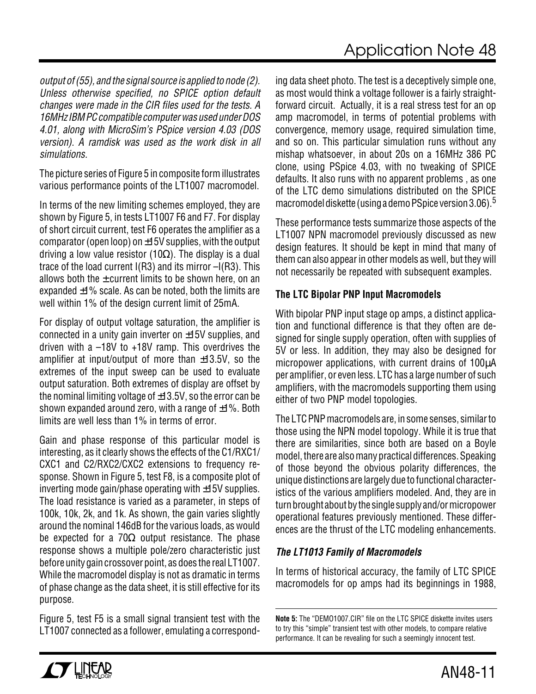output of (55), and the signal source is applied to node (2). Unless otherwise specified, no SPICE option default changes were made in the CIR files used for the tests. A 16MHz IBM PC compatible computer was used under DOS 4.01, along with MicroSim's PSpice version 4.03 (DOS version). A ramdisk was used as the work disk in all simulations.

The picture series of Figure 5 in composite form illustrates various performance points of the LT1007 macromodel.

In terms of the new limiting schemes employed, they are shown by Figure 5, in tests LT1007 F6 and F7. For display of short circuit current, test F6 operates the amplifier as a comparator (open loop) on  $\pm$ 15V supplies, with the output driving a low value resistor (10Ω). The display is a dual trace of the load current I(R3) and its mirror –I(R3). This allows both the  $\pm$  current limits to be shown here, on an expanded  $\pm$ 1% scale. As can be noted, both the limits are well within 1% of the design current limit of 25mA.

For display of output voltage saturation, the amplifier is connected in a unity gain inverter on  $\pm$ 15V supplies, and driven with a –18V to +18V ramp. This overdrives the amplifier at input/output of more than  $\pm$ 13.5V, so the extremes of the input sweep can be used to evaluate output saturation. Both extremes of display are offset by the nominal limiting voltage of  $\pm$ 13.5V, so the error can be shown expanded around zero, with a range of  $\pm 1\%$ . Both limits are well less than 1% in terms of error.

Gain and phase response of this particular model is interesting, as it clearly shows the effects of the C1/RXC1/ CXC1 and C2/RXC2/CXC2 extensions to frequency response. Shown in Figure 5, test F8, is a composite plot of inverting mode gain/phase operating with  $\pm$ 15V supplies. The load resistance is varied as a parameter, in steps of 100k, 10k, 2k, and 1k. As shown, the gain varies slightly around the nominal 146dB for the various loads, as would be expected for a 70 $\Omega$  output resistance. The phase response shows a multiple pole/zero characteristic just before unity gain crossover point, as does the real LT1007. While the macromodel display is not as dramatic in terms of phase change as the data sheet, it is still effective for its purpose.

Figure 5, test F5 is a small signal transient test with the LT1007 connected as a follower, emulating a corresponding data sheet photo. The test is a deceptively simple one, as most would think a voltage follower is a fairly straightforward circuit. Actually, it is a real stress test for an op amp macromodel, in terms of potential problems with convergence, memory usage, required simulation time, and so on. This particular simulation runs without any mishap whatsoever, in about 20s on a 16MHz 386 PC clone, using PSpice 4.03, with no tweaking of SPICE defaults. It also runs with no apparent problems , as one of the LTC demo simulations distributed on the SPICE macromodel diskette (using a demo PSpice version 3.06).<sup>5</sup>

These performance tests summarize those aspects of the LT1007 NPN macromodel previously discussed as new design features. It should be kept in mind that many of them can also appear in other models as well, but they will not necessarily be repeated with subsequent examples.

## **The LTC Bipolar PNP Input Macromodels**

With bipolar PNP input stage op amps, a distinct application and functional difference is that they often are designed for single supply operation, often with supplies of 5V or less. In addition, they may also be designed for micropower applications, with current drains of 100µA per amplifier, or even less. LTC has a large number of such amplifiers, with the macromodels supporting them using either of two PNP model topologies.

The LTC PNP macromodels are, in some senses, similar to those using the NPN model topology. While it is true that there are similarities, since both are based on a Boyle model, there are also many practical differences. Speaking of those beyond the obvious polarity differences, the unique distinctions are largely due to functional characteristics of the various amplifiers modeled. And, they are in turn brought about by the single supply and/or micropower operational features previously mentioned. These differences are the thrust of the LTC modeling enhancements.

## **The LT1013 Family of Macromodels**

In terms of historical accuracy, the family of LTC SPICE macromodels for op amps had its beginnings in 1988,

**Note 5:** The "DEMO1007.CIR" file on the LTC SPICE diskette invites users to try this "simple" transient test with other models, to compare relative performance. It can be revealing for such a seemingly innocent test.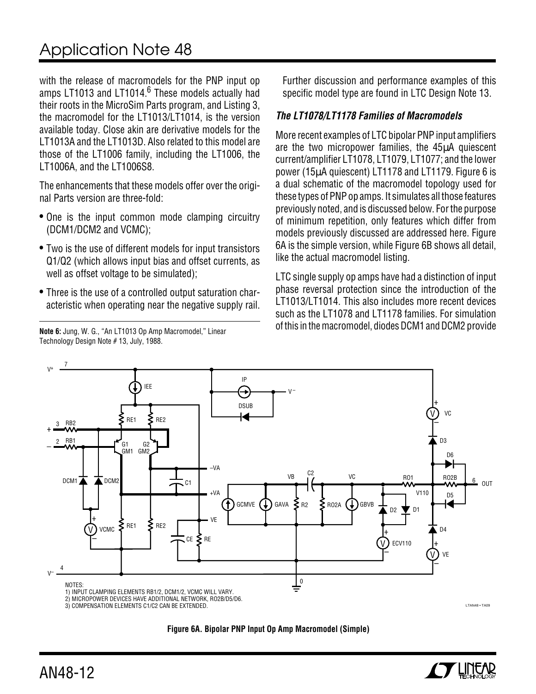with the release of macromodels for the PNP input op amps LT1013 and LT1014.<sup>6</sup> These models actually had their roots in the MicroSim Parts program, and Listing 3, the macromodel for the LT1013/LT1014, is the version available today. Close akin are derivative models for the LT1013A and the LT1013D. Also related to this model are those of the LT1006 family, including the LT1006, the LT1006A, and the LT1006S8.

The enhancements that these models offer over the original Parts version are three-fold:

- One is the input common mode clamping circuitry (DCM1/DCM2 and VCMC);
- Two is the use of different models for input transistors Q1/Q2 (which allows input bias and offset currents, as well as offset voltage to be simulated);
- Three is the use of a controlled output saturation characteristic when operating near the negative supply rail.

Technology Design Note # 13, July, 1988.

Further discussion and performance examples of this specific model type are found in LTC Design Note 13.

### **The LT1078/LT1178 Families of Macromodels**

More recent examples of LTC bipolar PNP input amplifiers are the two micropower families, the 45µA quiescent current/amplifier LT1078, LT1079, LT1077; and the lower power (15µA quiescent) LT1178 and LT1179. Figure 6 is a dual schematic of the macromodel topology used for these types of PNP op amps. It simulates all those features previously noted, and is discussed below. For the purpose of minimum repetition, only features which differ from models previously discussed are addressed here. Figure 6A is the simple version, while Figure 6B shows all detail, like the actual macromodel listing.

LTC single supply op amps have had a distinction of input phase reversal protection since the introduction of the LT1013/LT1014. This also includes more recent devices such as the LT1078 and LT1178 families. For simulation of this in the macromodel, diodes DCM1 and DCM2 provide **Note 6:** Jung, W. G., "An LT1013 Op Amp Macromodel," Linear



**Figure 6A. Bipolar PNP Input Op Amp Macromodel (Simple)**

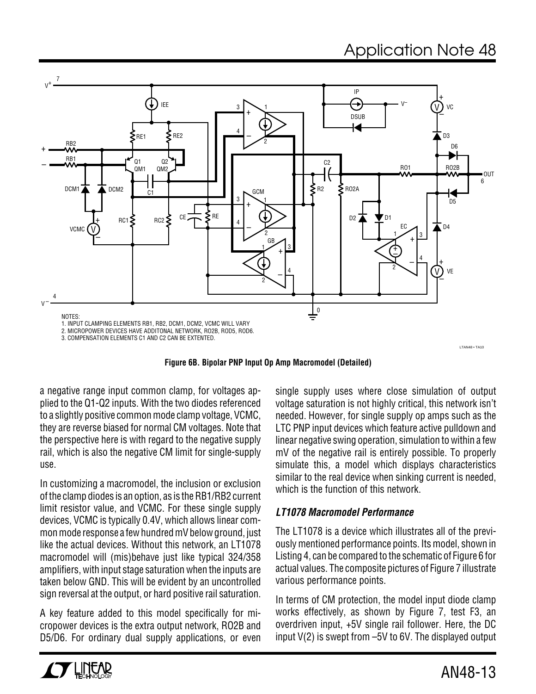

**Figure 6B. Bipolar PNP Input Op Amp Macromodel (Detailed)**

a negative range input common clamp, for voltages applied to the Q1-Q2 inputs. With the two diodes referenced to a slightly positive common mode clamp voltage, VCMC, they are reverse biased for normal CM voltages. Note that the perspective here is with regard to the negative supply rail, which is also the negative CM limit for single-supply use.

In customizing a macromodel, the inclusion or exclusion of the clamp diodes is an option, as is the RB1/RB2 current limit resistor value, and VCMC. For these single supply devices, VCMC is typically 0.4V, which allows linear common mode response a few hundred mV below ground, just like the actual devices. Without this network, an LT1078 macromodel will (mis)behave just like typical 324/358 amplifiers, with input stage saturation when the inputs are taken below GND. This will be evident by an uncontrolled sign reversal at the output, or hard positive rail saturation.

A key feature added to this model specifically for micropower devices is the extra output network, RO2B and D5/D6. For ordinary dual supply applications, or even single supply uses where close simulation of output voltage saturation is not highly critical, this network isn't needed. However, for single supply op amps such as the LTC PNP input devices which feature active pulldown and linear negative swing operation, simulation to within a few mV of the negative rail is entirely possible. To properly simulate this, a model which displays characteristics similar to the real device when sinking current is needed, which is the function of this network.

## **LT1078 Macromodel Performance**

The LT1078 is a device which illustrates all of the previously mentioned performance points. Its model, shown in Listing 4, can be compared to the schematic of Figure 6 for actual values. The composite pictures of Figure 7 illustrate various performance points.

In terms of CM protection, the model input diode clamp works effectively, as shown by Figure 7, test F3, an overdriven input, +5V single rail follower. Here, the DC input V(2) is swept from –5V to 6V. The displayed output

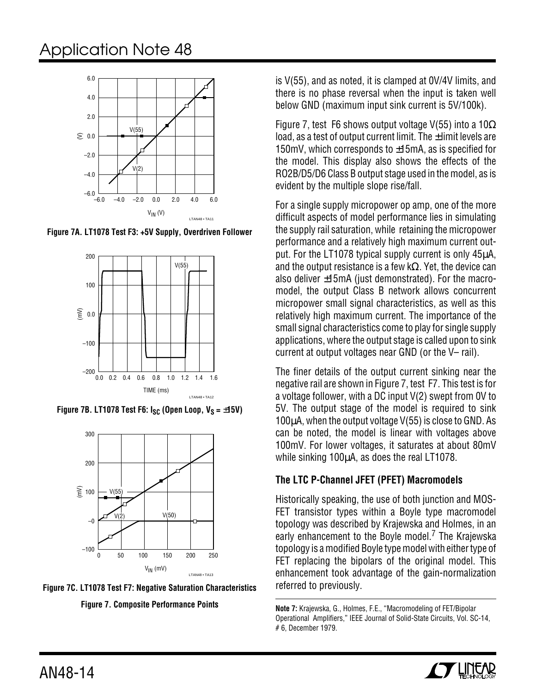

**Figure 7A. LT1078 Test F3: +5V Supply, Overdriven Follower**



**Figure 7B. LT1078 Test F6:**  $I_{SC}$  **(Open Loop,**  $V_S = \pm 15V$ **)** 





is V(55), and as noted, it is clamped at 0V/4V limits, and there is no phase reversal when the input is taken well below GND (maximum input sink current is 5V/100k).

Figure 7, test F6 shows output voltage V(55) into a  $10\Omega$ load, as a test of output current limit. The  $\pm$  limit levels are 150mV, which corresponds to ±15mA, as is specified for the model. This display also shows the effects of the RO2B/D5/D6 Class B output stage used in the model, as is evident by the multiple slope rise/fall.

For a single supply micropower op amp, one of the more difficult aspects of model performance lies in simulating the supply rail saturation, while retaining the micropower performance and a relatively high maximum current output. For the LT1078 typical supply current is only 45µA, and the output resistance is a few k $\Omega$ . Yet, the device can also deliver ±15mA (just demonstrated). For the macromodel, the output Class B network allows concurrent micropower small signal characteristics, as well as this relatively high maximum current. The importance of the small signal characteristics come to play for single supply applications, where the output stage is called upon to sink current at output voltages near GND (or the V– rail).

The finer details of the output current sinking near the negative rail are shown in Figure 7, test F7. This test is for a voltage follower, with a DC input V(2) swept from 0V to 5V. The output stage of the model is required to sink 100µA, when the output voltage V(55) is close to GND. As can be noted, the model is linear with voltages above 100mV. For lower voltages, it saturates at about 80mV while sinking 100 $\mu$ A, as does the real LT1078.

## **The LTC P-Channel JFET (PFET) Macromodels**

Historically speaking, the use of both junction and MOS-FET transistor types within a Boyle type macromodel topology was described by Krajewska and Holmes, in an early enhancement to the Boyle model.<sup>7</sup> The Krajewska topology is a modified Boyle type model with either type of FET replacing the bipolars of the original model. This enhancement took advantage of the gain-normalization referred to previously.

**Note 7:** Krajewska, G., Holmes, F.E., "Macromodeling of FET/Bipolar Operational Amplifiers," IEEE Journal of Solid-State Circuits, Vol. SC-14, # 6, December 1979.

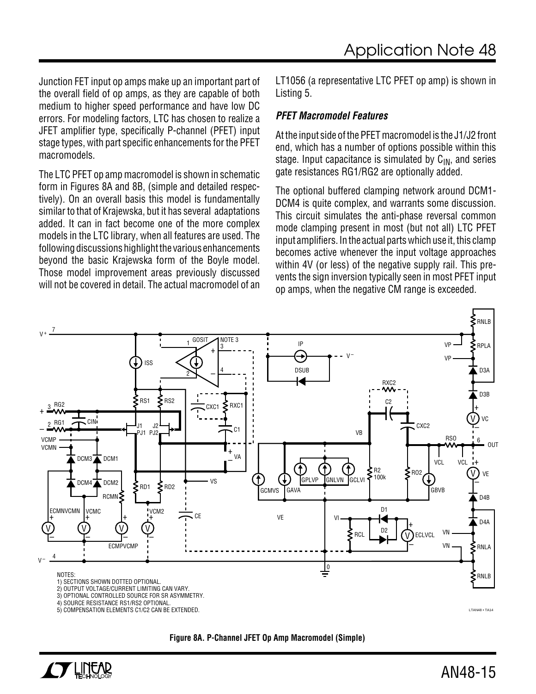Junction FET input op amps make up an important part of the overall field of op amps, as they are capable of both medium to higher speed performance and have low DC errors. For modeling factors, LTC has chosen to realize a JFET amplifier type, specifically P-channel (PFET) input stage types, with part specific enhancements for the PFET macromodels.

The LTC PFET op amp macromodel is shown in schematic form in Figures 8A and 8B, (simple and detailed respectively). On an overall basis this model is fundamentally similar to that of Krajewska, but it has several adaptations added. It can in fact become one of the more complex models in the LTC library, when all features are used. The following discussions highlight the various enhancements beyond the basic Krajewska form of the Boyle model. Those model improvement areas previously discussed will not be covered in detail. The actual macromodel of an

LT1056 (a representative LTC PFET op amp) is shown in Listing 5.

#### **PFET Macromodel Features**

At the input side of the PFET macromodel is the J1/J2 front end, which has a number of options possible within this stage. Input capacitance is simulated by  $C_{IN}$ , and series gate resistances RG1/RG2 are optionally added.

The optional buffered clamping network around DCM1- DCM4 is quite complex, and warrants some discussion. This circuit simulates the anti-phase reversal common mode clamping present in most (but not all) LTC PFET input amplifiers. In the actual parts which use it, this clamp becomes active whenever the input voltage approaches within 4V (or less) of the negative supply rail. This prevents the sign inversion typically seen in most PFET input op amps, when the negative CM range is exceeded.





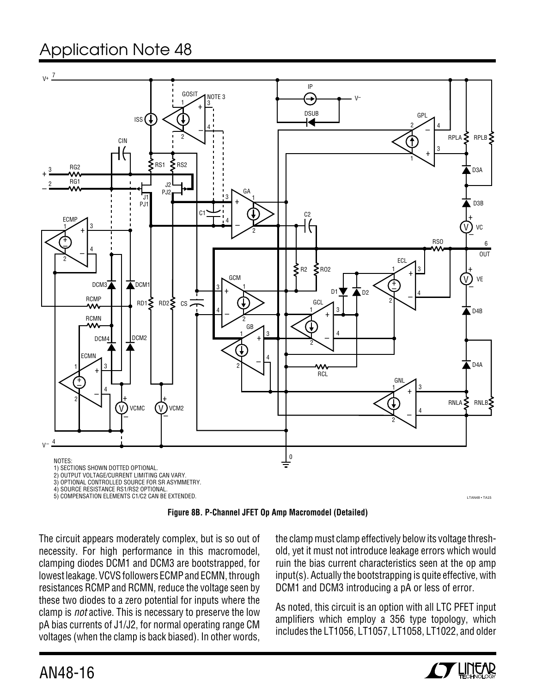



The circuit appears moderately complex, but is so out of necessity. For high performance in this macromodel, clamping diodes DCM1 and DCM3 are bootstrapped, for lowest leakage. VCVS followers ECMP and ECMN, through resistances RCMP and RCMN, reduce the voltage seen by these two diodes to a zero potential for inputs where the clamp is not active. This is necessary to preserve the low pA bias currents of J1/J2, for normal operating range CM voltages (when the clamp is back biased). In other words,

the clamp must clamp effectively below its voltage threshold, yet it must not introduce leakage errors which would ruin the bias current characteristics seen at the op amp input(s). Actually the bootstrapping is quite effective, with DCM1 and DCM3 introducing a pA or less of error.

As noted, this circuit is an option with all LTC PFET input amplifiers which employ a 356 type topology, which includes the LT1056, LT1057, LT1058, LT1022, and older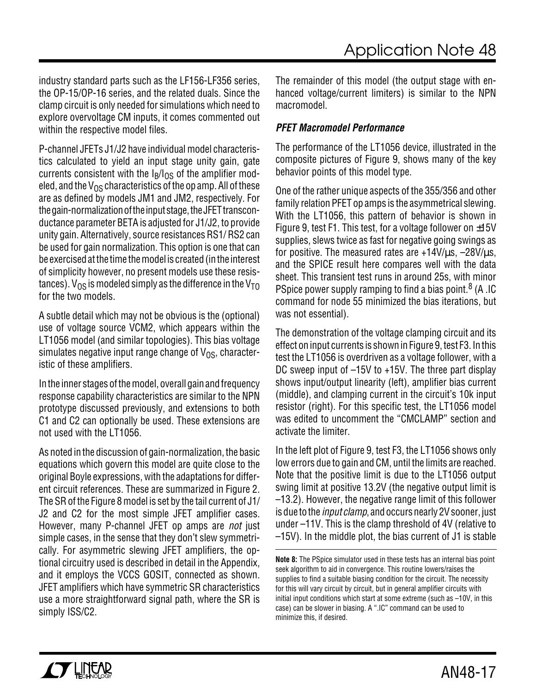industry standard parts such as the LF156-LF356 series, the OP-15/OP-16 series, and the related duals. Since the clamp circuit is only needed for simulations which need to explore overvoltage CM inputs, it comes commented out within the respective model files.

P-channel JFETs J1/J2 have individual model characteristics calculated to yield an input stage unity gain, gate currents consistent with the  $I<sub>B</sub>/I<sub>OS</sub>$  of the amplifier modeled, and the  $V_{OS}$  characteristics of the op amp. All of these are as defined by models JM1 and JM2, respectively. For the gain-normalization of the input stage, the JFET transconductance parameter BETA is adjusted for J1/J2, to provide unity gain. Alternatively, source resistances RS1/ RS2 can be used for gain normalization. This option is one that can be exercised at the time the model is created (in the interest of simplicity however, no present models use these resistances).  $V_{OS}$  is modeled simply as the difference in the  $V_{TO}$ for the two models.

A subtle detail which may not be obvious is the (optional) use of voltage source VCM2, which appears within the LT1056 model (and similar topologies). This bias voltage simulates negative input range change of  $V_{OS}$ , characteristic of these amplifiers.

In the inner stages of the model, overall gain and frequency response capability characteristics are similar to the NPN prototype discussed previously, and extensions to both C1 and C2 can optionally be used. These extensions are not used with the LT1056.

As noted in the discussion of gain-normalization, the basic equations which govern this model are quite close to the original Boyle expressions, with the adaptations for different circuit references. These are summarized in Figure 2. The SR of the Figure 8 model is set by the tail current of J1/ J2 and C2 for the most simple JFET amplifier cases. However, many P-channel JFET op amps are not just simple cases, in the sense that they don't slew symmetrically. For asymmetric slewing JFET amplifiers, the optional circuitry used is described in detail in the Appendix, and it employs the VCCS GOSIT, connected as shown. JFET amplifiers which have symmetric SR characteristics use a more straightforward signal path, where the SR is simply ISS/C2.

The remainder of this model (the output stage with enhanced voltage/current limiters) is similar to the NPN macromodel.

### **PFET Macromodel Performance**

The performance of the LT1056 device, illustrated in the composite pictures of Figure 9, shows many of the key behavior points of this model type.

One of the rather unique aspects of the 355/356 and other family relation PFET op amps is the asymmetrical slewing. With the LT1056, this pattern of behavior is shown in Figure 9, test F1. This test, for a voltage follower on  $\pm 15V$ supplies, slews twice as fast for negative going swings as for positive. The measured rates are  $+14V/\mu s$ ,  $-28V/\mu s$ . and the SPICE result here compares well with the data sheet. This transient test runs in around 25s, with minor PSpice power supply ramping to find a bias point.<sup>8</sup> (A .IC command for node 55 minimized the bias iterations, but was not essential).

The demonstration of the voltage clamping circuit and its effect on input currents is shown in Figure 9, test F3. In this test the LT1056 is overdriven as a voltage follower, with a DC sweep input of –15V to +15V. The three part display shows input/output linearity (left), amplifier bias current (middle), and clamping current in the circuit's 10k input resistor (right). For this specific test, the LT1056 model was edited to uncomment the "CMCLAMP" section and activate the limiter.

In the left plot of Figure 9, test F3, the LT1056 shows only low errors due to gain and CM, until the limits are reached. Note that the positive limit is due to the LT1056 output swing limit at positive 13.2V (the negative output limit is –13.2). However, the negative range limit of this follower is due to the *input clamp*, and occurs nearly 2V sooner, just under –11V. This is the clamp threshold of 4V (relative to –15V). In the middle plot, the bias current of J1 is stable

**Note 8:** The PSpice simulator used in these tests has an internal bias point seek algorithm to aid in convergence. This routine lowers/raises the supplies to find a suitable biasing condition for the circuit. The necessity for this will vary circuit by circuit, but in general amplifier circuits with initial input conditions which start at some extreme (such as –10V, in this case) can be slower in biasing. A ".IC" command can be used to minimize this, if desired.

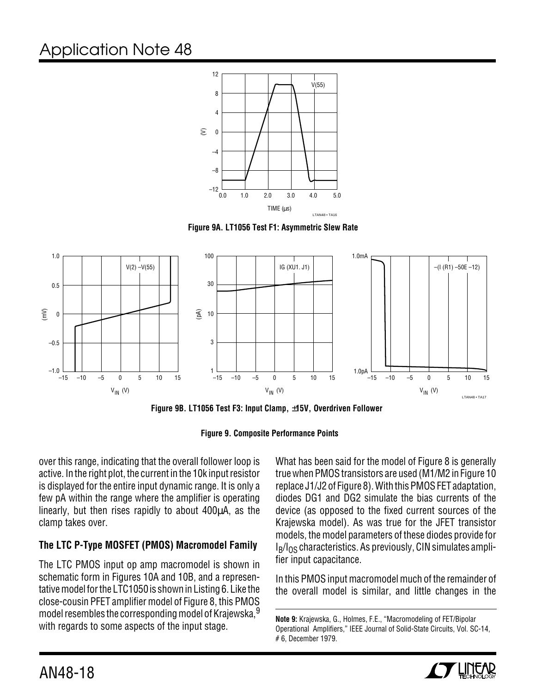

**Figure 9A. LT1056 Test F1: Asymmetric Slew Rate**



**Figure 9B. LT1056 Test F3: Input Clamp,** ±**15V, Overdriven Follower**



over this range, indicating that the overall follower loop is active. In the right plot, the current in the 10k input resistor is displayed for the entire input dynamic range. It is only a few pA within the range where the amplifier is operating linearly, but then rises rapidly to about 400µA, as the clamp takes over.

## **The LTC P-Type MOSFET (PMOS) Macromodel Family**

The LTC PMOS input op amp macromodel is shown in schematic form in Figures 10A and 10B, and a representative model for the LTC1050 is shown in Listing 6. Like the close-cousin PFET amplifier model of Figure 8, this PMOS model resembles the corresponding model of Krajewska, 9 with regards to some aspects of the input stage.

What has been said for the model of Figure 8 is generally true when PMOS transistors are used (M1/M2 in Figure 10 replace J1/J2 of Figure 8). With this PMOS FET adaptation, diodes DG1 and DG2 simulate the bias currents of the device (as opposed to the fixed current sources of the Krajewska model). As was true for the JFET transistor models, the model parameters of these diodes provide for  $I<sub>B</sub>/I<sub>OS</sub>$  characteristics. As previously, CIN simulates amplifier input capacitance.

In this PMOS input macromodel much of the remainder of the overall model is similar, and little changes in the

**Note 9:** Krajewska, G., Holmes, F.E., "Macromodeling of FET/Bipolar Operational Amplifiers," IEEE Journal of Solid-State Circuits, Vol. SC-14, # 6, December 1979.

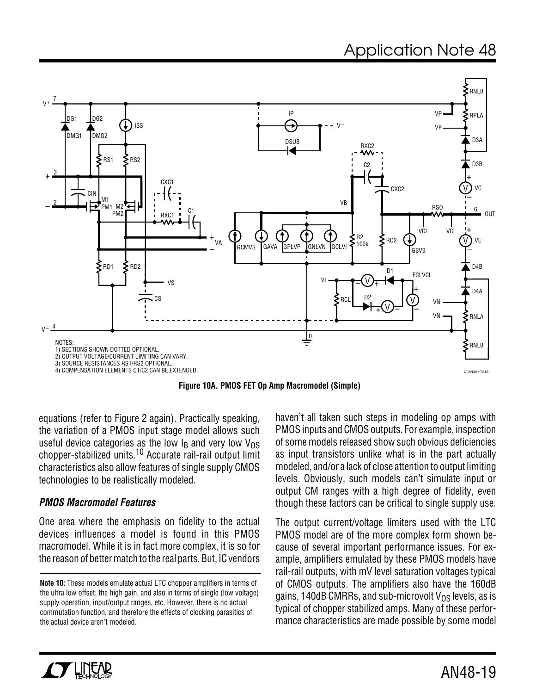

**Figure 10A. PMOS FET Op Amp Macromodel (Simple)**

equations (refer to Figure 2 again). Practically speaking, the variation of a PMOS input stage model allows such useful device categories as the low I<sub>B</sub> and very low V<sub>OS</sub> chopper-stabilized units.10 Accurate rail-rail output limit characteristics also allow features of single supply CMOS technologies to be realistically modeled.

#### **PMOS Macromodel Features**

One area where the emphasis on fidelity to the actual devices influences a model is found in this PMOS macromodel. While it is in fact more complex, it is so for the reason of better match to the real parts. But, IC vendors haven't all taken such steps in modeling op amps with PMOS inputs and CMOS outputs. For example, inspection of some models released show such obvious deficiencies as input transistors unlike what is in the part actually modeled, and/or a lack of close attention to output limiting levels. Obviously, such models can't simulate input or output CM ranges with a high degree of fidelity, even though these factors can be critical to single supply use.

The output current/voltage limiters used with the LTC PMOS model are of the more complex form shown because of several important performance issues. For example, amplifiers emulated by these PMOS models have rail-rail outputs, with mV level saturation voltages typical of CMOS outputs. The amplifiers also have the 160dB gains, 140dB CMRRs, and sub-microvolt  $V_{OS}$  levels, as is typical of chopper stabilized amps. Many of these performance characteristics are made possible by some model



**Note 10:** These models emulate actual LTC chopper amplifiers in terms of the ultra low offset, the high gain, and also in terms of single (low voltage) supply operation, input/output ranges, etc. However, there is no actual commutation function, and therefore the effects of clocking parasitics of the actual device aren't modeled.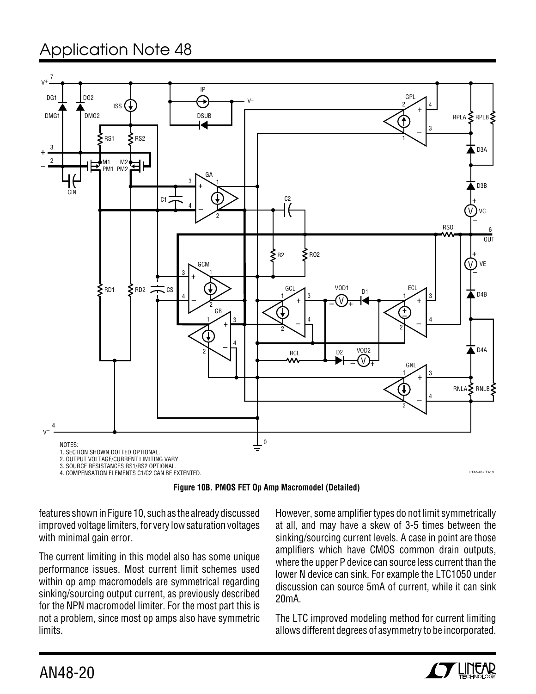

features shown in Figure 10, such as the already discussed improved voltage limiters, for very low saturation voltages with minimal gain error.

The current limiting in this model also has some unique performance issues. Most current limit schemes used within op amp macromodels are symmetrical regarding sinking/sourcing output current, as previously described for the NPN macromodel limiter. For the most part this is not a problem, since most op amps also have symmetric limits.

However, some amplifier types do not limit symmetrically at all, and may have a skew of 3-5 times between the sinking/sourcing current levels. A case in point are those amplifiers which have CMOS common drain outputs, where the upper P device can source less current than the lower N device can sink. For example the LTC1050 under discussion can source 5mA of current, while it can sink 20mA.

The LTC improved modeling method for current limiting allows different degrees of asymmetry to be incorporated.

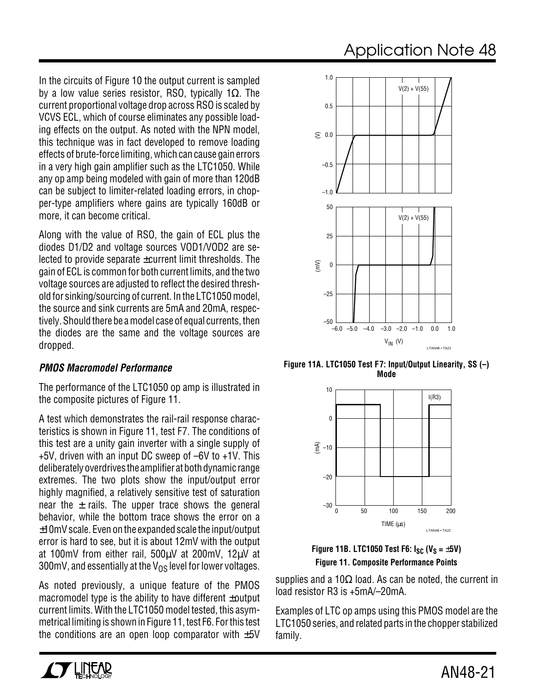In the circuits of Figure 10 the output current is sampled by a low value series resistor, RSO, typically 1 $\Omega$ . The current proportional voltage drop across RSO is scaled by VCVS ECL, which of course eliminates any possible loading effects on the output. As noted with the NPN model, this technique was in fact developed to remove loading effects of brute-force limiting, which can cause gain errors in a very high gain amplifier such as the LTC1050. While any op amp being modeled with gain of more than 120dB can be subject to limiter-related loading errors, in chopper-type amplifiers where gains are typically 160dB or

Along with the value of RSO, the gain of ECL plus the diodes D1/D2 and voltage sources VOD1/VOD2 are selected to provide separate ±current limit thresholds. The gain of ECL is common for both current limits, and the two voltage sources are adjusted to reflect the desired threshold for sinking/sourcing of current. In the LTC1050 model, the source and sink currents are 5mA and 20mA, respectively. Should there be a model case of equal currents, then the diodes are the same and the voltage sources are dropped.

#### **PMOS Macromodel Performance**

more, it can become critical.

The performance of the LTC1050 op amp is illustrated in the composite pictures of Figure 11.

A test which demonstrates the rail-rail response characteristics is shown in Figure 11, test F7. The conditions of this test are a unity gain inverter with a single supply of +5V, driven with an input DC sweep of –6V to +1V. This deliberately overdrives the amplifier at both dynamic range extremes. The two plots show the input/output error highly magnified, a relatively sensitive test of saturation near the  $\pm$  rails. The upper trace shows the general behavior, while the bottom trace shows the error on a ±10mV scale. Even on the expanded scale the input/output error is hard to see, but it is about 12mV with the output at 100mV from either rail, 500µV at 200mV, 12µV at 300mV, and essentially at the  $V_{OS}$  level for lower voltages.

As noted previously, a unique feature of the PMOS macromodel type is the ability to have different ±output current limits. With the LTC1050 model tested, this asymmetrical limiting is shown in Figure 11, test F6. For this test the conditions are an open loop comparator with  $\pm 5V$ 



**Figure 11A. LTC1050 Test F7: Input/Output Linearity, SS (–) Mode**



**Figure 11B. LTC1050 Test F6:**  $I_{SC}$  **(V<sub>S</sub> =**  $\pm$ **5V) Figure 11. Composite Performance Points**

supplies and a 10 $\Omega$  load. As can be noted, the current in load resistor R3 is +5mA/–20mA.

Examples of LTC op amps using this PMOS model are the LTC1050 series, and related parts in the chopper stabilized family.

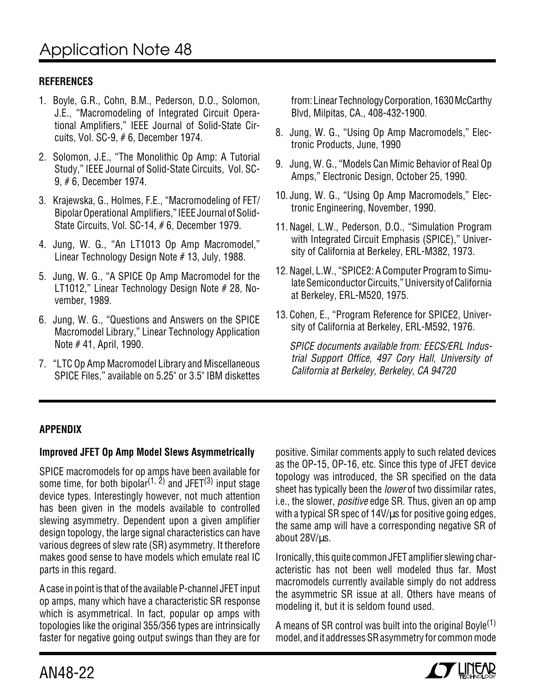## **REFERENCES**

- 1. Boyle, G.R., Cohn, B.M., Pederson, D.O., Solomon, J.E., "Macromodeling of Integrated Circuit Operational Amplifiers," IEEE Journal of Solid-State Circuits, Vol. SC-9, # 6, December 1974.
- 2. Solomon, J.E., "The Monolithic Op Amp: A Tutorial Study," IEEE Journal of Solid-State Circuits, Vol. SC-9, # 6, December 1974.
- 3. Krajewska, G., Holmes, F.E., "Macromodeling of FET/ Bipolar Operational Amplifiers," IEEE Journal of Solid-State Circuits, Vol. SC-14, # 6, December 1979.
- 4. Jung, W. G., "An LT1013 Op Amp Macromodel," Linear Technology Design Note # 13, July, 1988.
- 5. Jung, W. G., "A SPICE Op Amp Macromodel for the LT1012," Linear Technology Design Note # 28, November, 1989.
- 6. Jung, W. G., "Questions and Answers on the SPICE Macromodel Library," Linear Technology Application Note # 41, April, 1990.
- 7. "LTC Op Amp Macromodel Library and Miscellaneous SPICE Files," available on 5.25" or 3.5" IBM diskettes

from: Linear Technology Corporation, 1630 McCarthy Blvd, Milpitas, CA., 408-432-1900.

- 8. Jung, W. G., "Using Op Amp Macromodels," Electronic Products, June, 1990
- 9. Jung, W. G., "Models Can Mimic Behavior of Real Op Amps," Electronic Design, October 25, 1990.
- 10. Jung, W. G., "Using Op Amp Macromodels," Electronic Engineering, November, 1990.
- 11. Nagel, L.W., Pederson, D.O., "Simulation Program with Integrated Circuit Emphasis (SPICE)," University of California at Berkeley, ERL-M382, 1973.
- 12. Nagel, L.W., "SPICE2: A Computer Program to Simulate Semiconductor Circuits," University of California at Berkeley, ERL-M520, 1975.
- 13. Cohen, E., "Program Reference for SPICE2, University of California at Berkeley, ERL-M592, 1976.

SPICE documents available from: EECS/ERL Industrial Support Office, 497 Cory Hall, University of California at Berkeley, Berkeley, CA 94720

### **APPENDIX**

### **Improved JFET Op Amp Model Slews Asymmetrically**

SPICE macromodels for op amps have been available for some time, for both bipolar $^{(1,\ 2)}$  and JFET $^{(3)}$  input stage device types. Interestingly however, not much attention has been given in the models available to controlled slewing asymmetry. Dependent upon a given amplifier design topology, the large signal characteristics can have various degrees of slew rate (SR) asymmetry. It therefore makes good sense to have models which emulate real IC parts in this regard.

A case in point is that of the available P-channel JFET input op amps, many which have a characteristic SR response which is asymmetrical. In fact, popular op amps with topologies like the original 355/356 types are intrinsically faster for negative going output swings than they are for positive. Similar comments apply to such related devices as the OP-15, OP-16, etc. Since this type of JFET device topology was introduced, the SR specified on the data sheet has typically been the *lower* of two dissimilar rates, i.e., the slower, *positive* edge SR. Thus, given an op amp with a typical SR spec of  $14V/\mu s$  for positive going edges, the same amp will have a corresponding negative SR of about 28V/us.

Ironically, this quite common JFET amplifier slewing characteristic has not been well modeled thus far. Most macromodels currently available simply do not address the asymmetric SR issue at all. Others have means of modeling it, but it is seldom found used.

A means of SR control was built into the original Boyle(1) model, and it addresses SR asymmetry for common mode

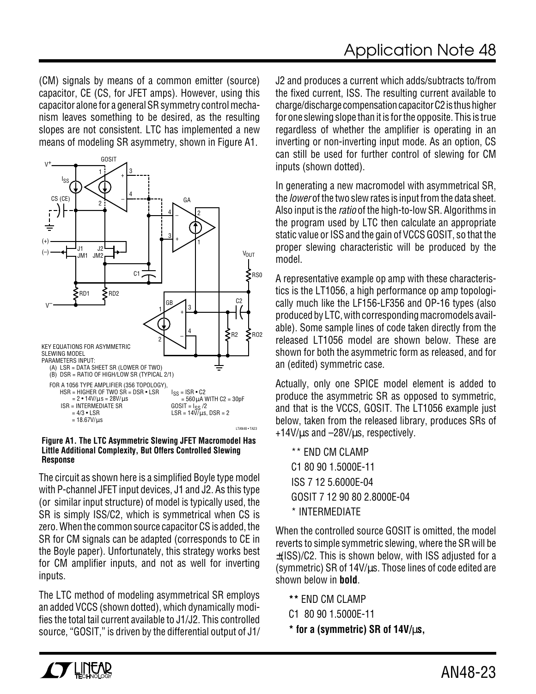(CM) signals by means of a common emitter (source) capacitor, CE (CS, for JFET amps). However, using this capacitor alone for a general SR symmetry control mechanism leaves something to be desired, as the resulting slopes are not consistent. LTC has implemented a new means of modeling SR asymmetry, shown in Figure A1.



#### **Figure A1. The LTC Asymmetric Slewing JFET Macromodel Has Little Additional Complexity, But Offers Controlled Slewing Response**

The circuit as shown here is a simplified Boyle type model with P-channel JFET input devices, J1 and J2. As this type (or similar input structure) of model is typically used, the SR is simply ISS/C2, which is symmetrical when CS is zero. When the common source capacitor CS is added, the SR for CM signals can be adapted (corresponds to CE in the Boyle paper). Unfortunately, this strategy works best for CM amplifier inputs, and not as well for inverting inputs.

The LTC method of modeling asymmetrical SR employs an added VCCS (shown dotted), which dynamically modifies the total tail current available to J1/J2. This controlled source, "GOSIT," is driven by the differential output of J1/ J2 and produces a current which adds/subtracts to/from the fixed current, ISS. The resulting current available to charge/discharge compensation capacitor C2 is thus higher for one slewing slope than it is for the opposite. This is true regardless of whether the amplifier is operating in an inverting or non-inverting input mode. As an option, CS can still be used for further control of slewing for CM inputs (shown dotted).

In generating a new macromodel with asymmetrical SR, the *lower* of the two slew rates is input from the data sheet. Also input is the *ratio* of the high-to-low SR. Algorithms in the program used by LTC then calculate an appropriate static value or ISS and the gain of VCCS GOSIT, so that the proper slewing characteristic will be produced by the model.

A representative example op amp with these characteristics is the LT1056, a high performance op amp topologically much like the LF156-LF356 and OP-16 types (also produced by LTC, with corresponding macromodels available). Some sample lines of code taken directly from the released LT1056 model are shown below. These are shown for both the asymmetric form as released, and for an (edited) symmetric case.

Actually, only one SPICE model element is added to produce the asymmetric SR as opposed to symmetric, and that is the VCCS, GOSIT. The LT1056 example just below, taken from the released library, produces SRs of +14V/µs and –28V/µs, respectively.

\*\* END CM CLAMP C1 80 90 1.5000E-11 ISS 7 12 5.6000E-04 GOSIT 7 12 90 80 2.8000E-04 \* INTERMEDIATE

When the controlled source GOSIT is omitted, the model reverts to simple symmetric slewing, where the SR will be ±(ISS)/C2. This is shown below, with ISS adjusted for a (symmetric) SR of 14V/µs. Those lines of code edited are shown below in **bold**.

**\*\*** END CM CLAMP C1 80 90 1.5000E-11

**\* for a (symmetric) SR of 14V/**µ**s,**

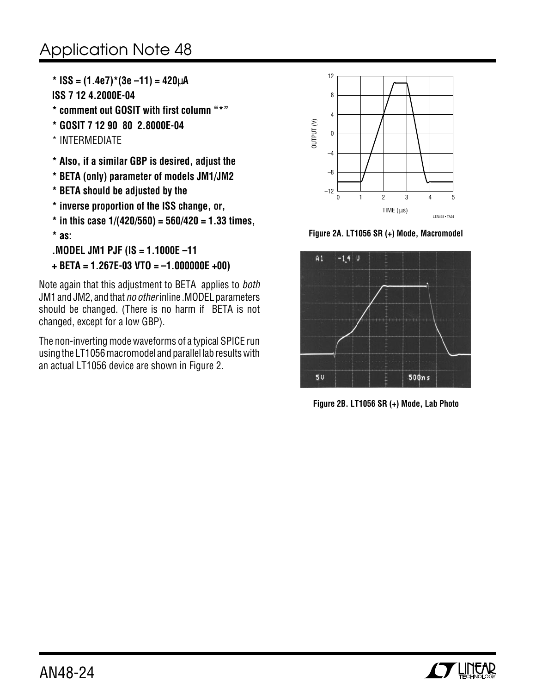**\* ISS = (1.4e7)\*(3e –11) = 420**µ**A ISS 7 12 4.2000E-04**

- **\* comment out GOSIT with first column "\*"**
- **\* GOSIT 7 12 90 80 2.8000E-04**
- \* INTERMEDIATE
- **\* Also, if a similar GBP is desired, adjust the**
- **\* BETA (only) parameter of models JM1/JM2**
- **\* BETA should be adjusted by the**
- **\* inverse proportion of the ISS change, or,**
- **\* in this case 1/(420/560) = 560/420 = 1.33 times,**

**\* as:**

```
.MODEL JM1 PJF (IS = 1.1000E –11
```

```
+ BETA = 1.267E-03 VTO = –1.000000E +00)
```
Note again that this adjustment to BETA applies to both JM1 and JM2, and that no other inline .MODEL parameters should be changed. (There is no harm if BETA is not changed, except for a low GBP).

The non-inverting mode waveforms of a typical SPICE run using the LT1056 macromodel and parallel lab results with an actual LT1056 device are shown in Figure 2.



**Figure 2A. LT1056 SR (+) Mode, Macromodel**



**Figure 2B. LT1056 SR (+) Mode, Lab Photo**

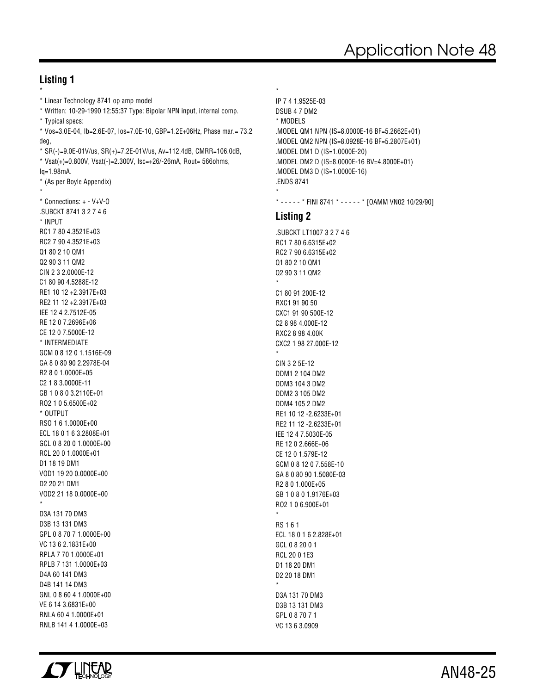#### **Listing 1**

```
*
* Linear Technology 8741 op amp model
* Written: 10-29-1990 12:55:37 Type: Bipolar NPN input, internal comp.
* Typical specs:
* Vos=3.0E-04, Ib=2.6E-07, Ios=7.0E-10, GBP=1.2E+06Hz, Phase mar.= 73.2
deg,
* SR(-)=9.0E-01V/us, SR(+)=7.2E-01V/us, Av=112.4dB, CMRR=106.0dB,
* Vsat(+)=0.800V, Vsat(-)=2.300V, Isc=+26/-26mA, Rout= 566ohms,
Iq=1.98mA.
* (As per Boyle Appendix)
*
* Connections: + - V+V-O
.SUBCKT 8741 3 2 7 4 6
* INPUT
RC1 7 80 4.3521E+03
RC2 7 90 4.3521E+03
Q1 80 2 10 QM1
Q2 90 3 11 QM2
CIN 2 3 2.0000E-12
C1 80 90 4.5288E-12
RE1 10 12 +2.3917E+03
RE2 11 12 +2.3917E+03
IEE 12 4 2.7512E-05
RE 12 0 7.2696E+06
CE 12 0 7.5000E-12
* INTERMEDIATE
GCM 0 8 12 0 1.1516E-09
GA 8 0 80 90 2.2978E-04
R2 8 0 1.0000E+05
C2 1 8 3.0000E-11
GB 1 0 8 0 3.2110E+01
RO2 1 0 5.6500E+02
* OUTPUT
RSO 1 6 1.0000E+00
ECL 18 0 1 6 3.2808E+01
GCL 0 8 20 0 1.0000E+00
RCL 20 0 1.0000E+01
D1 18 19 DM1
VOD1 19 20 0.0000E+00
D2 20 21 DM1
VOD2 21 18 0.0000E+00
*
D3A 131 70 DM3
D3B 13 131 DM3
GPL 0 8 70 7 1.0000E+00
VC 13 6 2.1831E+00
RPLA 7 70 1.0000E+01
RPLB 7 131 1.0000E+03
D4A 60 141 DM3
D4B 141 14 DM3
GNL 0 8 60 4 1.0000E+00
VE 6 14 3.6831E+00
RNLA 60 4 1.0000E+01
RNLB 141 4 1.0000E+03
```

```
*
IP 7 4 1.9525E-03
DSUB 4 7 DM2
* MODELS
.MODEL QM1 NPN (IS=8.0000E-16 BF=5.2662E+01)
.MODEL QM2 NPN (IS=8.0928E-16 BF=5.2807E+01)
.MODEL DM1 D (IS=1.0000E-20)
.MODEL DM2 D (IS=8.0000E-16 BV=4.8000E+01)
.MODEL DM3 D (IS=1.0000E-16)
.ENDS 8741
*
* - - - - - * FINI 8741 * - - - - * [OAMM VN02 10/29/90]
```
#### **Listing 2**

.SUBCKT LT1007 3 2 7 4 6 RC1 7 80 6.6315E+02 RC2 7 90 6.6315E+02 Q1 80 2 10 QM1 Q2 90 3 11 QM2 \* C1 80 91 200E-12 RXC1 91 90 50 CXC1 91 90 500E-12 C2 8 98 4.000E-12 RXC2 8 98 4.00K CXC2 1 98 27.000E-12 \* CIN 3 2 5E-12 DDM1 2 104 DM2 DDM3 104 3 DM2 DDM2 3 105 DM2 DDM4 105 2 DM2 RE1 10 12 -2.6233E+01 RE2 11 12 -2.6233E+01 IEE 12 4 7.5030E-05 RE 12 0 2.666E+06 CE 12 0 1.579E-12 GCM 0 8 12 0 7.558E-10 GA 8 0 80 90 1.5080E-03 R2 8 0 1.000E+05 GB 1 0 8 0 1.9176E+03 RO2 1 0 6.900E+01 \* RS 1 6 1 ECL 18 0 1 6 2.828E+01 GCL 0 8 20 0 1 RCL 20 0 1E3 D1 18 20 DM1 D2 20 18 DM1 \* D3A 131 70 DM3 D3B 13 131 DM3 GPL 0 8 70 7 1 VC 13 6 3.0909

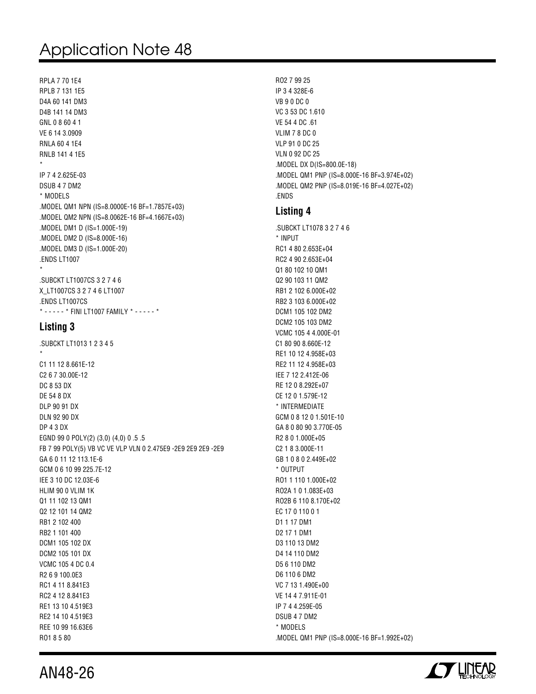RPLA 7 70 1E4 RPLB 7 131 1E5 D4A 60 141 DM3 D4B 141 14 DM3 GNL 0 8 60 4 1 VE 6 14 3.0909 RNLA 60 4 1E4 RNLB 141 4 1E5 \* IP 7 4 2.625E-03 DSUB 4 7 DM2 \* MODELS .MODEL QM1 NPN (IS=8.0000E-16 BF=1.7857E+03) .MODEL QM2 NPN (IS=8.0062E-16 BF=4.1667E+03) .MODEL DM1 D (IS=1.000E-19) .MODEL DM2 D (IS=8.000E-16) .MODEL DM3 D (IS=1.000E-20) .ENDS LT1007 \* .SUBCKT LT1007CS 3 2 7 4 6 X\_LT1007CS 3 2 7 4 6 LT1007 .ENDS LT1007CS

\* - - - - - \* FINI LT1007 FAMILY \* - - - - - \*

#### **Listing 3**

.SUBCKT LT1013 1 2 3 4 5 \* C1 11 12 8.661E-12 C2 6 7 30.00E-12 DC 8 53 DX DE 54 8 DX DLP 90 91 DX DLN 92 90 DX DP 4 3 DX EGND 99 0 POLY(2) (3,0) (4,0) 0 .5 .5 FB 7 99 POLY(5) VB VC VE VLP VLN 0 2.475E9 -2E9 2E9 2E9 -2E9 GA 6 0 11 12 113.1E-6 GCM 0 6 10 99 225.7E-12 IEE 3 10 DC 12.03E-6 HLIM 90 0 VLIM 1K Q1 11 102 13 QM1 Q2 12 101 14 QM2 RB1 2 102 400 RB2 1 101 400 DCM1 105 102 DX DCM2 105 101 DX VCMC 105 4 DC 0.4 R2 6 9 100.0E3 RC1 4 11 8.841E3 RC2 4 12 8.841E3 RE1 13 10 4.519E3 RE2 14 10 4.519E3 REE 10 99 16.63E6 RO1 8 5 80

RO2 7 99 25 IP 3 4 328E-6 VB 9 0 DC 0 VC 3 53 DC 1.610 VE 54 4 DC .61 VLIM 7 8 DC 0 VLP 91 0 DC 25 VLN 0 92 DC 25 .MODEL DX D(IS=800.0E-18) .MODEL QM1 PNP (IS=8.000E-16 BF=3.974E+02) .MODEL QM2 PNP (IS=8.019E-16 BF=4.027E+02) .ENDS

### **Listing 4**

.SUBCKT LT1078 3 2 7 4 6 \* INPUT RC1 4 80 2.653E+04 RC2 4 90 2.653E+04 Q1 80 102 10 QM1 Q2 90 103 11 QM2 RB1 2 102 6.000E+02 RB2 3 103 6.000E+02 DCM1 105 102 DM2 DCM2 105 103 DM2 VCMC 105 4 4.000E-01 C1 80 90 8.660E-12 RE1 10 12 4.958E+03 RE2 11 12 4.958E+03 IEE 7 12 2.412E-06 RE 12 0 8.292E+07 CE 12 0 1.579E-12 \* INTERMEDIATE GCM 0 8 12 0 1.501E-10 GA 8 0 80 90 3.770E-05 R2 8 0 1.000E+05 C2 1 8 3.000E-11 GB 1 0 8 0 2.449E+02 \* OUTPUT RO1 1 110 1.000E+02 RO2A 1 0 1.083E+03 RO2B 6 110 8.170E+02 EC 17 0 110 0 1 D1 1 17 DM1 D2 17 1 DM1 D3 110 13 DM2 D4 14 110 DM2 D5 6 110 DM2 D6 110 6 DM2 VC 7 13 1.490E+00 VE 14 4 7.911E-01 IP 7 4 4.259E-05 DSUB 4 7 DM2 \* MODELS .MODEL QM1 PNP (IS=8.000E-16 BF=1.992E+02)



AN48-26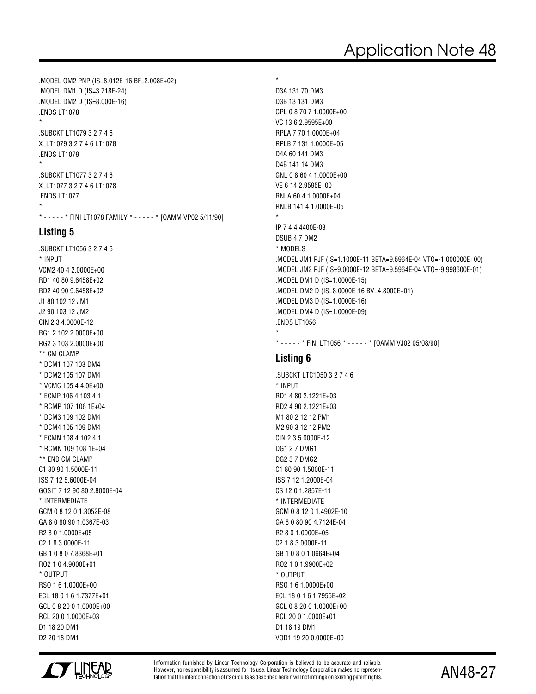.MODEL QM2 PNP (IS=8.012E-16 BF=2.008E+02) .MODEL DM1 D (IS=3.718E-24) .MODEL DM2 D (IS=8.000E-16) .ENDS LT1078 \* .SUBCKT LT1079 3 2 7 4 6 X\_LT1079 3 2 7 4 6 LT1078 .ENDS LT1079 \* .SUBCKT LT1077 3 2 7 4 6 X\_LT1077 3 2 7 4 6 LT1078 .ENDS LT1077 \*

\* - - - - - \* FINI LT1078 FAMILY \* - - - - - \* [OAMM VP02 5/11/90]

#### **Listing 5**

.SUBCKT LT1056 3 2 7 4 6 \* INPUT VCM2 40 4 2.0000E+00 RD1 40 80 9.6458E+02 RD2 40 90 9.6458E+02 J1 80 102 12 JM1 J2 90 103 12 JM2 CIN 2 3 4.0000E-12 RG1 2 102 2.0000E+00 RG2 3 103 2.0000E+00 \*\* CM CLAMP \* DCM1 107 103 DM4 \* DCM2 105 107 DM4 \* VCMC 105 4 4.0E+00 \* ECMP 106 4 103 4 1 \* RCMP 107 106 1E+04 \* DCM3 109 102 DM4 \* DCM4 105 109 DM4 \* ECMN 108 4 102 4 1 \* RCMN 109 108 1E+04 \*\* END CM CLAMP C1 80 90 1.5000E-11 ISS 7 12 5.6000E-04 GOSIT 7 12 90 80 2.8000E-04 \* INTERMEDIATE GCM 0 8 12 0 1.3052E-08 GA 8 0 80 90 1.0367E-03 R2 8 0 1.0000E+05 C2 1 8 3.0000E-11 GB 1 0 8 0 7.8368E+01 RO2 1 0 4.9000E+01 \* OUTPUT RSO 1 6 1.0000E+00 ECL 18 0 1 6 1.7377E+01 GCL 0 8 20 0 1.0000E+00 RCL 20 0 1.0000E+03 D1 18 20 DM1 D2 20 18 DM1

D3B 13 131 DM3 GPL 0 8 70 7 1.0000E+00 VC 13 6 2.9595E+00 RPLA 7 70 1.0000E+04 RPLB 7 131 1.0000E+05 D4A 60 141 DM3 D4B 141 14 DM3 GNL 0 8 60 4 1.0000E+00 VE 6 14 2.9595E+00 RNLA 60 4 1.0000E+04 RNLB 141 4 1.0000E+05 \* IP 7 4 4.4400E-03 DSUB 4 7 DM2 \* MODELS .MODEL JM1 PJF (IS=1.1000E-11 BETA=9.5964E-04 VTO=-1.000000E+00) .MODEL JM2 PJF (IS=9.0000E-12 BETA=9.5964E-04 VTO=-9.998600E-01) .MODEL DM1 D (IS=1.0000E-15) .MODEL DM2 D (IS=8.0000E-16 BV=4.8000E+01) .MODEL DM3 D (IS=1.0000E-16) .MODEL DM4 D (IS=1.0000E-09) .ENDS LT1056 \*

\* - - - - - \* FINI LT1056 \* - - - - - \* [OAMM VJ02 05/08/90]

#### **Listing 6**

\*

D3A 131 70 DM3

.SUBCKT LTC1050 3 2 7 4 6 \* INPUT RD1 4 80 2.1221E+03 RD2 4 90 2.1221E+03 M1 80 2 12 12 PM1 M2 90 3 12 12 PM2 CIN 2 3 5.0000E-12 DG1 2 7 DMG1 DG2 3 7 DMG2 C1 80 90 1.5000E-11 ISS 7 12 1.2000E-04 CS 12 0 1.2857E-11 \* INTERMEDIATE GCM 0 8 12 0 1.4902E-10 GA 8 0 80 90 4.7124E-04 R2 8 0 1.0000E+05 C2 1 8 3.0000E-11 GB 1 0 8 0 1.0664E+04 RO2 1 0 1.9900E+02 \* OUTPUT RSO 1 6 1.0000E+00 ECL 18 0 1 6 1.7955E+02 GCL 0 8 20 0 1.0000E+00 RCL 20 0 1.0000E+01 D1 18 19 DM1 VOD1 19 20 0.0000E+00



Information furnished by Linear Technology Corporation is believed to be accurate and reliable. However, no responsibility is assumed for its use. Linear Technology Corporation makes no representation that the interconnection of its circuits as described herein will not infringe on existing patent rights.